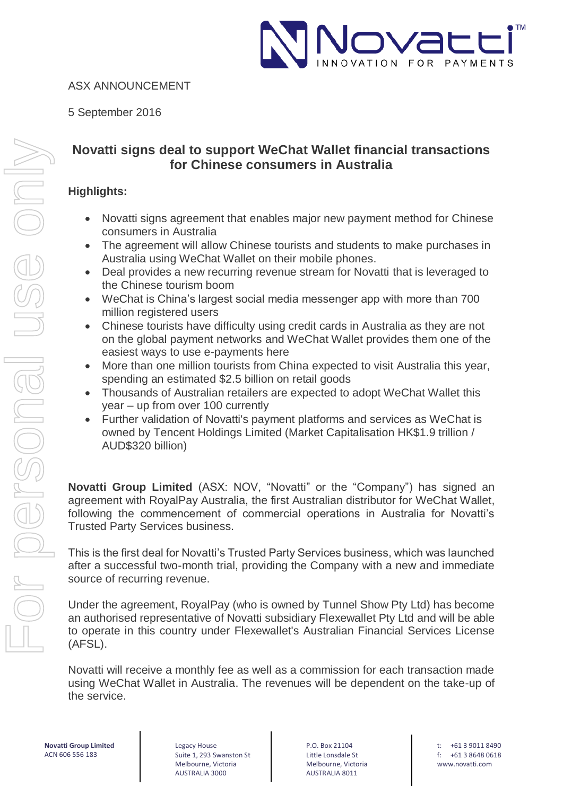

## ASX ANNOUNCEMENT

5 September 2016

## **Novatti signs deal to support WeChat Wallet financial transactions for Chinese consumers in Australia**

## **Highlights:**

- Novatti signs agreement that enables major new payment method for Chinese consumers in Australia
- The agreement will allow Chinese tourists and students to make purchases in Australia using WeChat Wallet on their mobile phones.
- Deal provides a new recurring revenue stream for Novatti that is leveraged to the Chinese tourism boom
- WeChat is China's largest social media messenger app with more than 700 million registered users
- Chinese tourists have difficulty using credit cards in Australia as they are not on the global payment networks and WeChat Wallet provides them one of the easiest ways to use e-payments here
- More than one million tourists from China expected to visit Australia this year, spending an estimated \$2.5 billion on retail goods
- Thousands of Australian retailers are expected to adopt WeChat Wallet this year – up from over 100 currently
- Further validation of Novatti's payment platforms and services as WeChat is owned by Tencent Holdings Limited (Market Capitalisation HK\$1.9 trillion / AUD\$320 billion)

**Novatti Group Limited** (ASX: NOV, "Novatti" or the "Company") has signed an agreement with RoyalPay Australia, the first Australian distributor for WeChat Wallet, following the commencement of commercial operations in Australia for Novatti's Trusted Party Services business.

This is the first deal for Novatti's Trusted Party Services business, which was launched after a successful two-month trial, providing the Company with a new and immediate source of recurring revenue.

Under the agreement, RoyalPay (who is owned by Tunnel Show Pty Ltd) has become an authorised representative of Novatti subsidiary Flexewallet Pty Ltd and will be able to operate in this country under Flexewallet's Australian Financial Services License (AFSL).

Novatti will receive a monthly fee as well as a commission for each transaction made using WeChat Wallet in Australia. The revenues will be dependent on the take-up of the service.

**Novatti Group Limited** ACN 606 556 183

Legacy House Suite 1, 293 Swanston St Melbourne, Victoria AUSTRALIA 3000

P.O. Box 21104 Little Lonsdale St Melbourne, Victoria AUSTRALIA 8011

t: +61 3 9011 8490 f: +61 3 8648 0618 www.novatti.com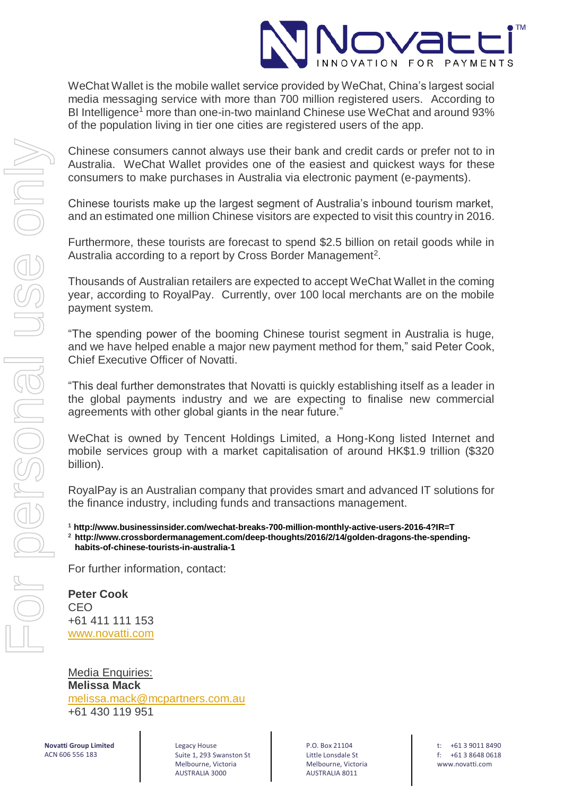

WeChat Wallet is the mobile wallet service provided by WeChat, China's largest social media messaging service with more than 700 million registered users. According to BI Intelligence<sup>1</sup> more than one-in-two mainland Chinese use WeChat and around 93% of the population living in tier one cities are registered users of the app.

Chinese consumers cannot always use their bank and credit cards or prefer not to in Australia. WeChat Wallet provides one of the easiest and quickest ways for these consumers to make purchases in Australia via electronic payment (e-payments).

Chinese tourists make up the largest segment of Australia's inbound tourism market, and an estimated one million Chinese visitors are expected to visit this country in 2016.

Furthermore, these tourists are forecast to spend \$2.5 billion on retail goods while in Australia according to a report by Cross Border Management<sup>2</sup>.

Thousands of Australian retailers are expected to accept WeChat Wallet in the coming year, according to RoyalPay. Currently, over 100 local merchants are on the mobile payment system.

"The spending power of the booming Chinese tourist segment in Australia is huge, and we have helped enable a major new payment method for them," said Peter Cook, Chief Executive Officer of Novatti.

"This deal further demonstrates that Novatti is quickly establishing itself as a leader in the global payments industry and we are expecting to finalise new commercial agreements with other global giants in the near future."

WeChat is owned by Tencent Holdings Limited, a Hong-Kong listed Internet and mobile services group with a market capitalisation of around HK\$1.9 trillion (\$320 billion).

RoyalPay is an Australian company that provides smart and advanced IT solutions for the finance industry, including funds and transactions management.

**<sup>1</sup> http://www.businessinsider.com/wechat-breaks-700-million-monthly-active-users-2016-4?IR=T <sup>2</sup> http://www.crossbordermanagement.com/deep-thoughts/2016/2/14/golden-dragons-the-spendinghabits-of-chinese-tourists-in-australia-1**

For further information, contact:

**Peter Cook** CEO +61 411 111 153 [www.novatti.com](http://www.novatti.com/)

Media Enquiries: **Melissa Mack** [melissa.mack@mcpartners.com.au](mailto:melissa.mack@mcpartners.com.au) +61 430 119 951

**Novatti Group Limited** ACN 606 556 183

Legacy House Suite 1, 293 Swanston St Melbourne, Victoria AUSTRALIA 3000

P.O. Box 21104 Little Lonsdale St Melbourne, Victoria AUSTRALIA 8011

t: +61 3 9011 8490 f: +61 3 8648 0618 www.novatti.com